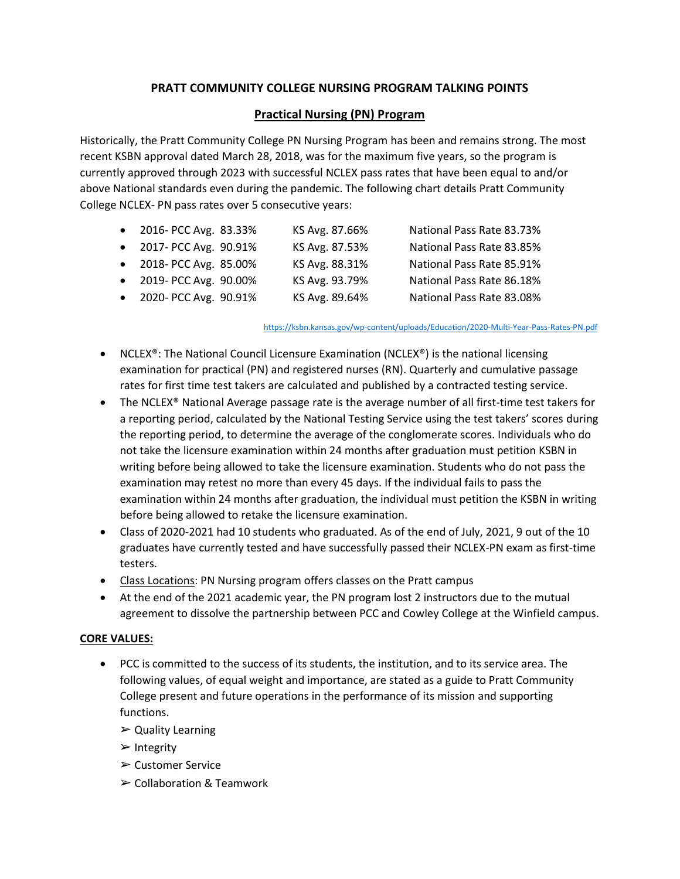## **PRATT COMMUNITY COLLEGE NURSING PROGRAM TALKING POINTS**

### **Practical Nursing (PN) Program**

Historically, the Pratt Community College PN Nursing Program has been and remains strong. The most recent KSBN approval dated March 28, 2018, was for the maximum five years, so the program is currently approved through 2023 with successful NCLEX pass rates that have been equal to and/or above National standards even during the pandemic. The following chart details Pratt Community College NCLEX- PN pass rates over 5 consecutive years:

| • 2016- PCC Avg. 83.33% | KS Avg. 87.66% | National Pass Rate 83.73% |
|-------------------------|----------------|---------------------------|
| • 2017- PCC Avg. 90.91% | KS Avg. 87.53% | National Pass Rate 83.85% |
| • 2018- PCC Avg. 85.00% | KS Avg. 88.31% | National Pass Rate 85.91% |
| • 2019- PCC Avg. 90.00% | KS Avg. 93.79% | National Pass Rate 86.18% |
| • 2020- PCC Avg. 90.91% | KS Avg. 89.64% | National Pass Rate 83.08% |

<https://ksbn.kansas.gov/wp-content/uploads/Education/2020-Multi-Year-Pass-Rates-PN.pdf>

- NCLEX<sup>®</sup>: The National Council Licensure Examination (NCLEX<sup>®</sup>) is the national licensing examination for practical (PN) and registered nurses (RN). Quarterly and cumulative passage rates for first time test takers are calculated and published by a contracted testing service.
- The NCLEX® National Average passage rate is the average number of all first-time test takers for a reporting period, calculated by the National Testing Service using the test takers' scores during the reporting period, to determine the average of the conglomerate scores. Individuals who do not take the licensure examination within 24 months after graduation must petition KSBN in writing before being allowed to take the licensure examination. Students who do not pass the examination may retest no more than every 45 days. If the individual fails to pass the examination within 24 months after graduation, the individual must petition the KSBN in writing before being allowed to retake the licensure examination.
- Class of 2020-2021 had 10 students who graduated. As of the end of July, 2021, 9 out of the 10 graduates have currently tested and have successfully passed their NCLEX-PN exam as first-time testers.
- Class Locations: PN Nursing program offers classes on the Pratt campus
- At the end of the 2021 academic year, the PN program lost 2 instructors due to the mutual agreement to dissolve the partnership between PCC and Cowley College at the Winfield campus.

#### **CORE VALUES:**

- PCC is committed to the success of its students, the institution, and to its service area. The following values, of equal weight and importance, are stated as a guide to Pratt Community College present and future operations in the performance of its mission and supporting functions.
	- $\triangleright$  Quality Learning
	- ➢ Integrity
	- ➢ Customer Service
	- ➢ Collaboration & Teamwork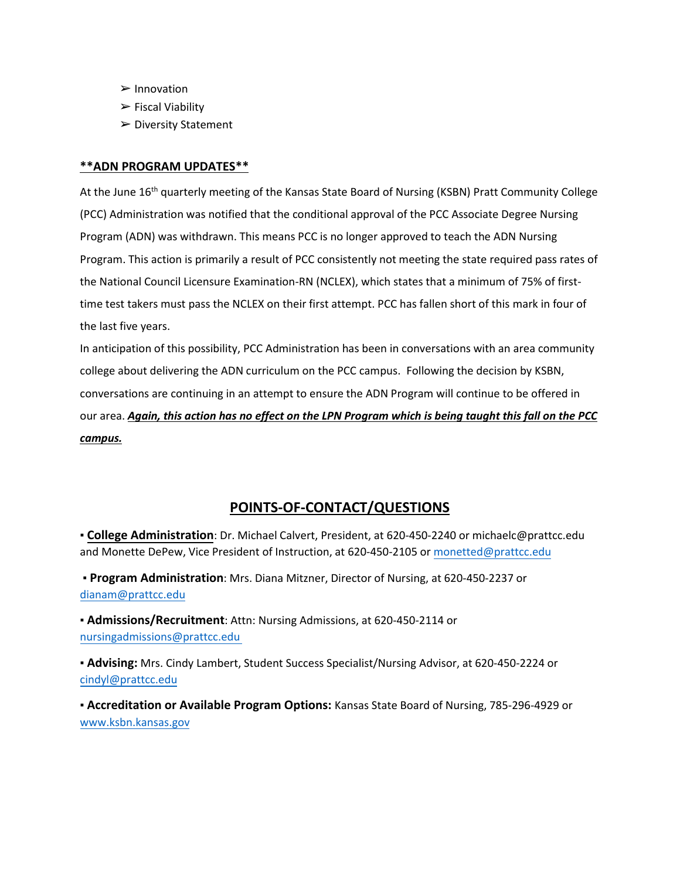- ➢ Innovation
- ➢ Fiscal Viability
- ➢ Diversity Statement

#### **\*\*ADN PROGRAM UPDATES\*\***

At the June 16<sup>th</sup> quarterly meeting of the Kansas State Board of Nursing (KSBN) Pratt Community College (PCC) Administration was notified that the conditional approval of the PCC Associate Degree Nursing Program (ADN) was withdrawn. This means PCC is no longer approved to teach the ADN Nursing Program. This action is primarily a result of PCC consistently not meeting the state required pass rates of the National Council Licensure Examination-RN (NCLEX), which states that a minimum of 75% of firsttime test takers must pass the NCLEX on their first attempt. PCC has fallen short of this mark in four of the last five years.

In anticipation of this possibility, PCC Administration has been in conversations with an area community college about delivering the ADN curriculum on the PCC campus. Following the decision by KSBN, conversations are continuing in an attempt to ensure the ADN Program will continue to be offered in our area. *Again, this action has no effect on the LPN Program which is being taught this fall on the PCC campus.*

# **POINTS-OF-CONTACT/QUESTIONS**

▪ **College Administration**: Dr. Michael Calvert, President, at 620-450-2240 or michaelc@prattcc.edu and Monette DePew, Vice President of Instruction, at 620-450-2105 o[r monetted@prattcc.edu](mailto:monetted@prattcc.edu)

▪ **Program Administration**: Mrs. Diana Mitzner, Director of Nursing, at 620-450-2237 or [dianam@prattcc.edu](mailto:dianam@prattcc.edu)

▪ **Admissions/Recruitment**: Attn: Nursing Admissions, at 620-450-2114 or nursinga[dmissions](mailto:elyseb@prattcc.edu)@prattcc.edu

▪ **Advising:** Mrs. Cindy Lambert, Student Success Specialist/Nursing Advisor, at 620-450-2224 or [cindyl@prattcc.edu](mailto:cindyl@prattcc.edu)

▪ **Accreditation or Available Program Options:** Kansas State Board of Nursing, 785-296-4929 or [www.ksbn.kansas.gov](http://www.ksbn.kansas.gov/)